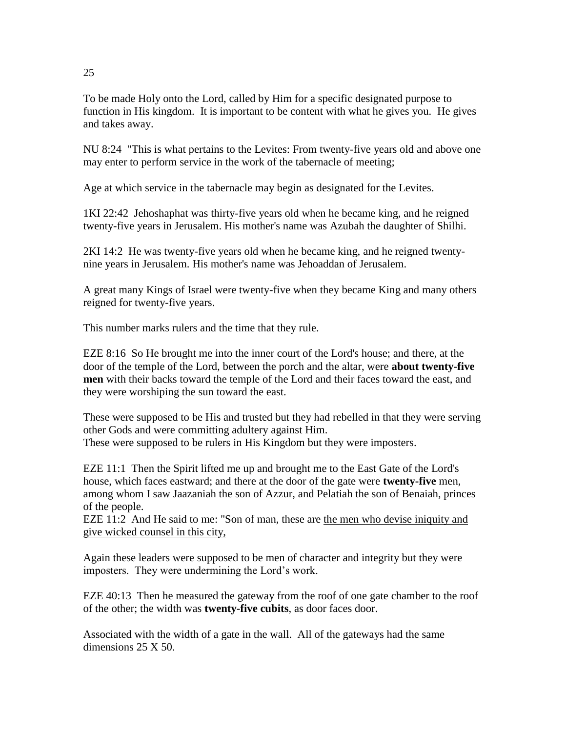To be made Holy onto the Lord, called by Him for a specific designated purpose to function in His kingdom. It is important to be content with what he gives you. He gives and takes away.

NU 8:24 "This is what pertains to the Levites: From twenty-five years old and above one may enter to perform service in the work of the tabernacle of meeting;

Age at which service in the tabernacle may begin as designated for the Levites.

1KI 22:42 Jehoshaphat was thirty-five years old when he became king, and he reigned twenty-five years in Jerusalem. His mother's name was Azubah the daughter of Shilhi.

2KI 14:2 He was twenty-five years old when he became king, and he reigned twentynine years in Jerusalem. His mother's name was Jehoaddan of Jerusalem.

A great many Kings of Israel were twenty-five when they became King and many others reigned for twenty-five years.

This number marks rulers and the time that they rule.

EZE 8:16 So He brought me into the inner court of the Lord's house; and there, at the door of the temple of the Lord, between the porch and the altar, were **about twenty-five men** with their backs toward the temple of the Lord and their faces toward the east, and they were worshiping the sun toward the east.

These were supposed to be His and trusted but they had rebelled in that they were serving other Gods and were committing adultery against Him. These were supposed to be rulers in His Kingdom but they were imposters.

EZE 11:1 Then the Spirit lifted me up and brought me to the East Gate of the Lord's house, which faces eastward; and there at the door of the gate were **twenty-five** men, among whom I saw Jaazaniah the son of Azzur, and Pelatiah the son of Benaiah, princes of the people.

EZE 11:2 And He said to me: "Son of man, these are the men who devise iniquity and give wicked counsel in this city,

Again these leaders were supposed to be men of character and integrity but they were imposters. They were undermining the Lord's work.

EZE 40:13 Then he measured the gateway from the roof of one gate chamber to the roof of the other; the width was **twenty-five cubits**, as door faces door.

Associated with the width of a gate in the wall. All of the gateways had the same dimensions 25 X 50.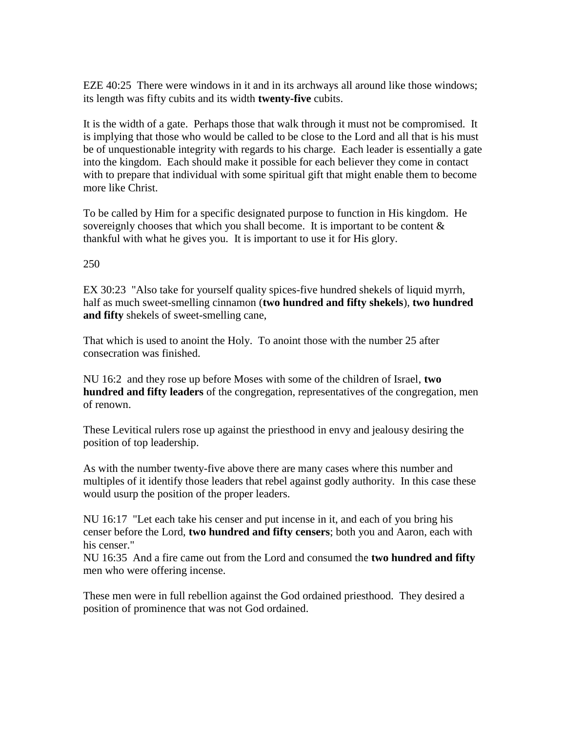EZE 40:25 There were windows in it and in its archways all around like those windows; its length was fifty cubits and its width **twenty-five** cubits.

It is the width of a gate. Perhaps those that walk through it must not be compromised. It is implying that those who would be called to be close to the Lord and all that is his must be of unquestionable integrity with regards to his charge. Each leader is essentially a gate into the kingdom. Each should make it possible for each believer they come in contact with to prepare that individual with some spiritual gift that might enable them to become more like Christ.

To be called by Him for a specific designated purpose to function in His kingdom. He sovereignly chooses that which you shall become. It is important to be content & thankful with what he gives you. It is important to use it for His glory.

## 250

EX 30:23 "Also take for yourself quality spices-five hundred shekels of liquid myrrh, half as much sweet-smelling cinnamon (**two hundred and fifty shekels**), **two hundred and fifty** shekels of sweet-smelling cane,

That which is used to anoint the Holy. To anoint those with the number 25 after consecration was finished.

NU 16:2 and they rose up before Moses with some of the children of Israel, **two hundred and fifty leaders** of the congregation, representatives of the congregation, men of renown.

These Levitical rulers rose up against the priesthood in envy and jealousy desiring the position of top leadership.

As with the number twenty-five above there are many cases where this number and multiples of it identify those leaders that rebel against godly authority. In this case these would usurp the position of the proper leaders.

NU 16:17 "Let each take his censer and put incense in it, and each of you bring his censer before the Lord, **two hundred and fifty censers**; both you and Aaron, each with his censer."

NU 16:35 And a fire came out from the Lord and consumed the **two hundred and fifty** men who were offering incense.

These men were in full rebellion against the God ordained priesthood. They desired a position of prominence that was not God ordained.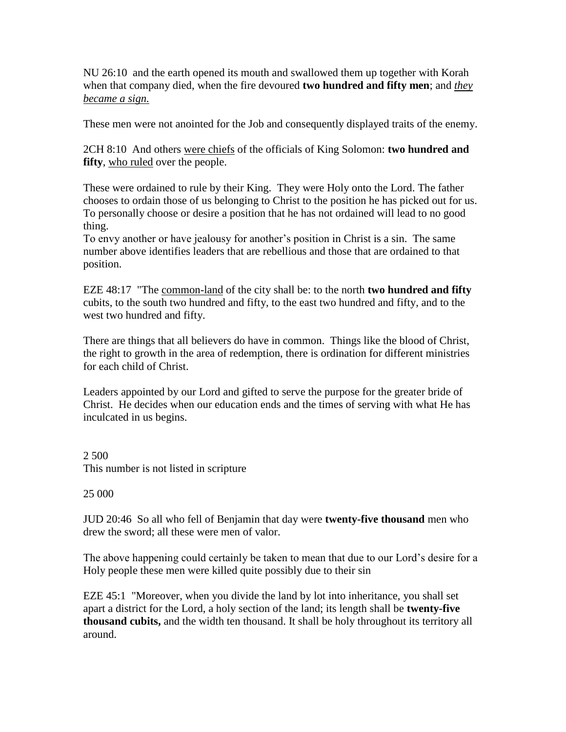NU 26:10 and the earth opened its mouth and swallowed them up together with Korah when that company died, when the fire devoured **two hundred and fifty men**; and *they became a sign.*

These men were not anointed for the Job and consequently displayed traits of the enemy.

2CH 8:10 And others were chiefs of the officials of King Solomon: **two hundred and fifty**, who ruled over the people.

These were ordained to rule by their King. They were Holy onto the Lord. The father chooses to ordain those of us belonging to Christ to the position he has picked out for us. To personally choose or desire a position that he has not ordained will lead to no good thing.

To envy another or have jealousy for another's position in Christ is a sin. The same number above identifies leaders that are rebellious and those that are ordained to that position.

EZE 48:17 "The common-land of the city shall be: to the north **two hundred and fifty** cubits, to the south two hundred and fifty, to the east two hundred and fifty, and to the west two hundred and fifty.

There are things that all believers do have in common. Things like the blood of Christ, the right to growth in the area of redemption, there is ordination for different ministries for each child of Christ.

Leaders appointed by our Lord and gifted to serve the purpose for the greater bride of Christ. He decides when our education ends and the times of serving with what He has inculcated in us begins.

2 500 This number is not listed in scripture

25 000

JUD 20:46 So all who fell of Benjamin that day were **twenty-five thousand** men who drew the sword; all these were men of valor.

The above happening could certainly be taken to mean that due to our Lord's desire for a Holy people these men were killed quite possibly due to their sin

EZE 45:1 "Moreover, when you divide the land by lot into inheritance, you shall set apart a district for the Lord, a holy section of the land; its length shall be **twenty-five thousand cubits,** and the width ten thousand. It shall be holy throughout its territory all around.